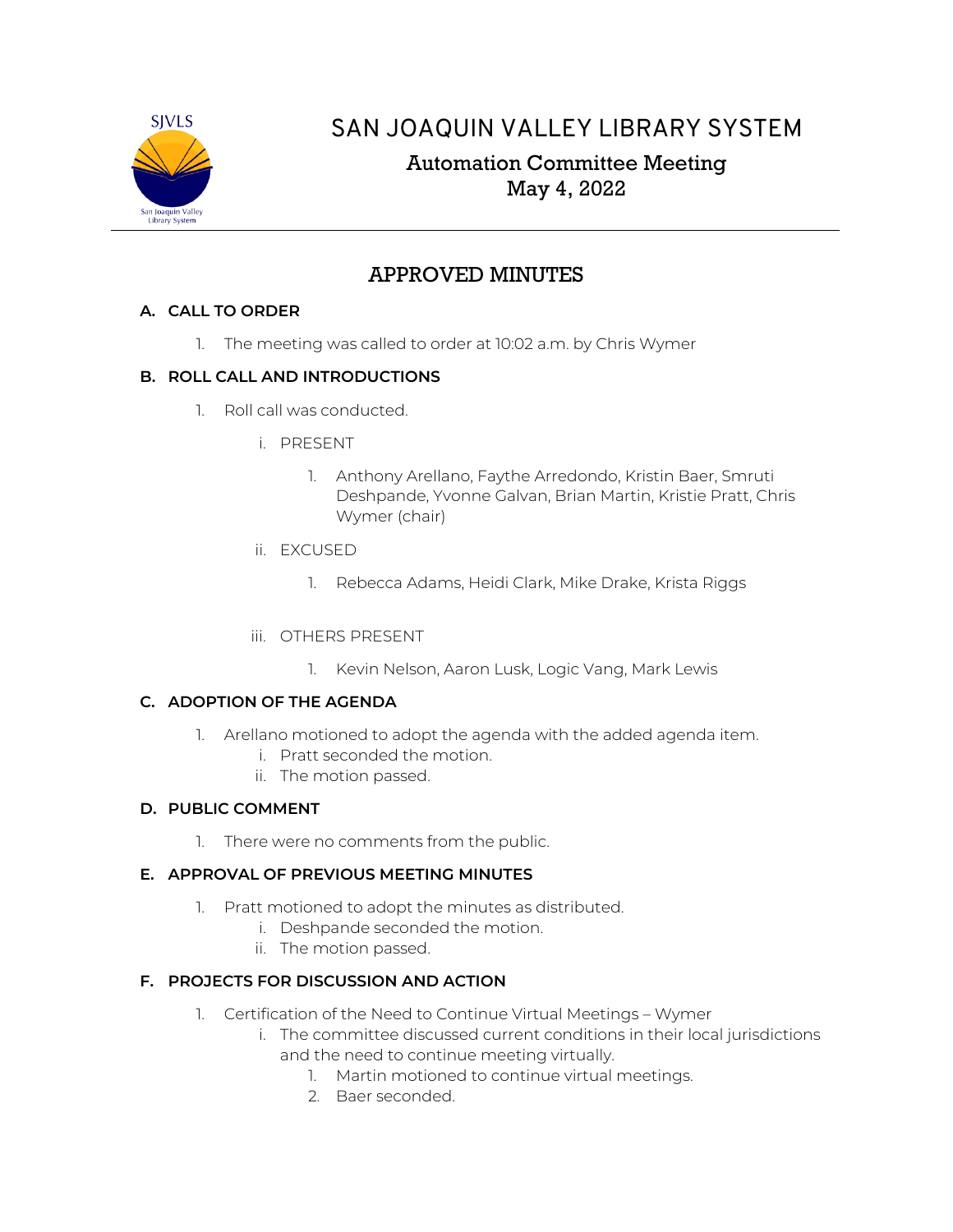

# SAN JOAQUIN VALLEY LIBRARY SYSTEM

# Automation Committee Meeting May 4, 2022

# APPROVED MINUTES

## **A. CALL TO ORDER**

1. The meeting was called to order at 10:02 a.m. by Chris Wymer

## **B. ROLL CALL AND INTRODUCTIONS**

- 1. Roll call was conducted.
	- i. PRESENT
		- 1. Anthony Arellano, Faythe Arredondo, Kristin Baer, Smruti Deshpande, Yvonne Galvan, Brian Martin, Kristie Pratt, Chris Wymer (chair)
	- ii. EXCUSED
		- 1. Rebecca Adams, Heidi Clark, Mike Drake, Krista Riggs
	- iii. OTHERS PRESENT
		- 1. Kevin Nelson, Aaron Lusk, Logic Vang, Mark Lewis

## **C. ADOPTION OF THE AGENDA**

- 1. Arellano motioned to adopt the agenda with the added agenda item.
	- i. Pratt seconded the motion.
	- ii. The motion passed.

## **D. PUBLIC COMMENT**

1. There were no comments from the public.

## **E. APPROVAL OF PREVIOUS MEETING MINUTES**

- 1. Pratt motioned to adopt the minutes as distributed.
	- i. Deshpande seconded the motion.
	- ii. The motion passed.

## **F. PROJECTS FOR DISCUSSION AND ACTION**

- 1. Certification of the Need to Continue Virtual Meetings Wymer
	- i. The committee discussed current conditions in their local jurisdictions and the need to continue meeting virtually.
		- 1. Martin motioned to continue virtual meetings.
		- 2. Baer seconded.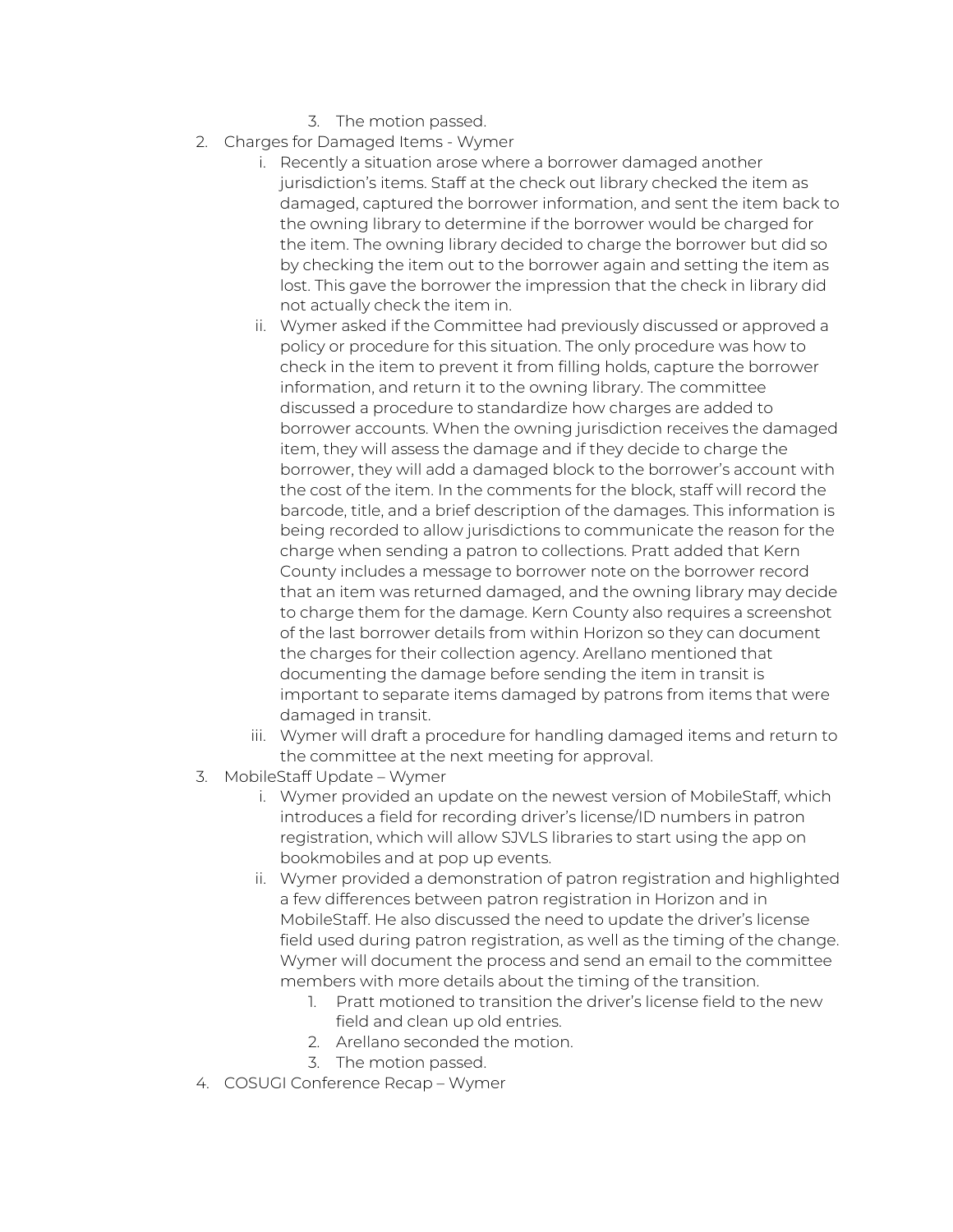- 3. The motion passed.
- 2. Charges for Damaged Items Wymer
	- i. Recently a situation arose where a borrower damaged another jurisdiction's items. Staff at the check out library checked the item as damaged, captured the borrower information, and sent the item back to the owning library to determine if the borrower would be charged for the item. The owning library decided to charge the borrower but did so by checking the item out to the borrower again and setting the item as lost. This gave the borrower the impression that the check in library did not actually check the item in.
	- ii. Wymer asked if the Committee had previously discussed or approved a policy or procedure for this situation. The only procedure was how to check in the item to prevent it from filling holds, capture the borrower information, and return it to the owning library. The committee discussed a procedure to standardize how charges are added to borrower accounts. When the owning jurisdiction receives the damaged item, they will assess the damage and if they decide to charge the borrower, they will add a damaged block to the borrower's account with the cost of the item. In the comments for the block, staff will record the barcode, title, and a brief description of the damages. This information is being recorded to allow jurisdictions to communicate the reason for the charge when sending a patron to collections. Pratt added that Kern County includes a message to borrower note on the borrower record that an item was returned damaged, and the owning library may decide to charge them for the damage. Kern County also requires a screenshot of the last borrower details from within Horizon so they can document the charges for their collection agency. Arellano mentioned that documenting the damage before sending the item in transit is important to separate items damaged by patrons from items that were damaged in transit.
	- iii. Wymer will draft a procedure for handling damaged items and return to the committee at the next meeting for approval.
- 3. MobileStaff Update Wymer
	- i. Wymer provided an update on the newest version of MobileStaff, which introduces a field for recording driver's license/ID numbers in patron registration, which will allow SJVLS libraries to start using the app on bookmobiles and at pop up events.
	- ii. Wymer provided a demonstration of patron registration and highlighted a few differences between patron registration in Horizon and in MobileStaff. He also discussed the need to update the driver's license field used during patron registration, as well as the timing of the change. Wymer will document the process and send an email to the committee members with more details about the timing of the transition.
		- 1. Pratt motioned to transition the driver's license field to the new field and clean up old entries.
		- 2. Arellano seconded the motion.
		- 3. The motion passed.
- 4. COSUGI Conference Recap Wymer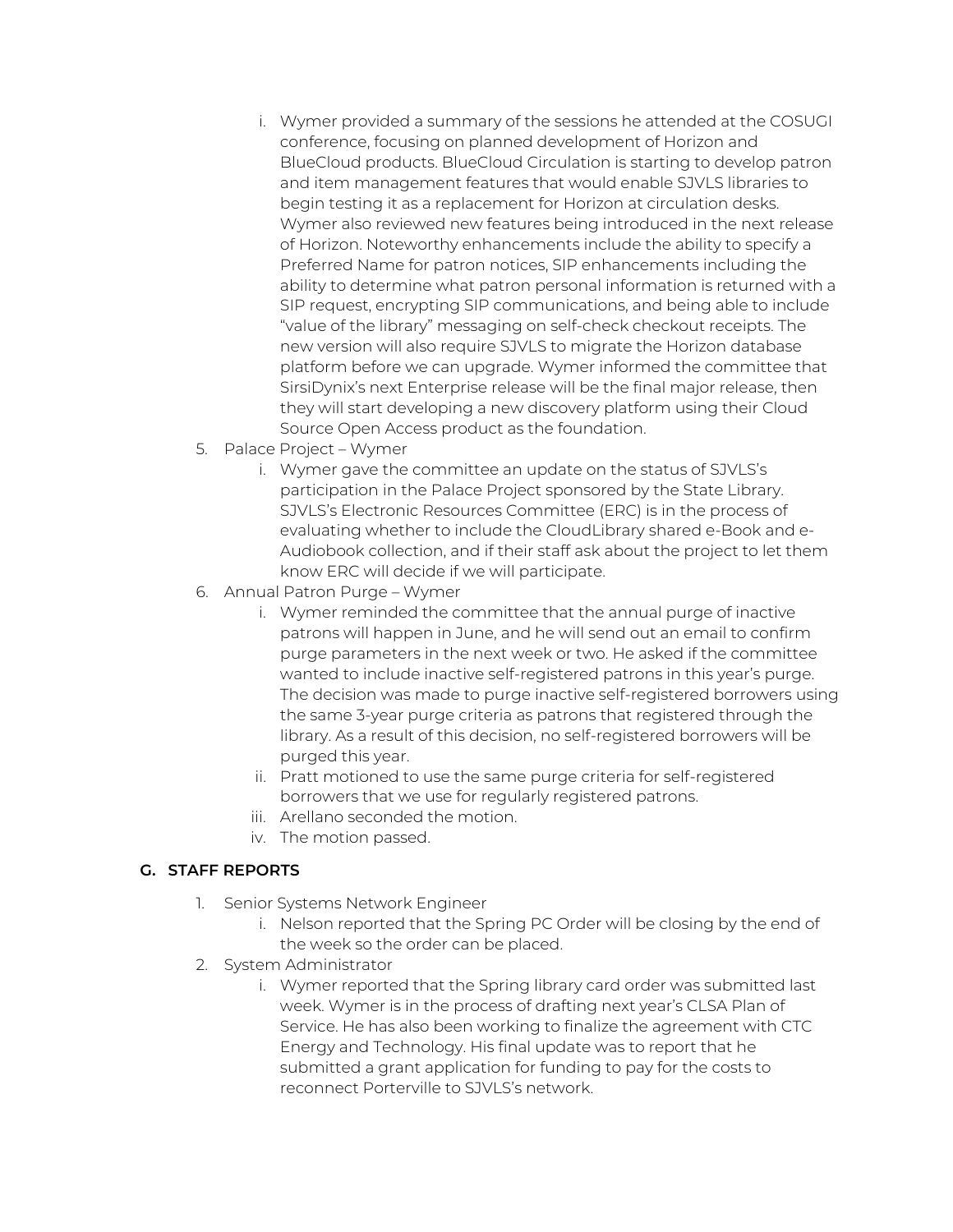- i. Wymer provided a summary of the sessions he attended at the COSUGI conference, focusing on planned development of Horizon and BlueCloud products. BlueCloud Circulation is starting to develop patron and item management features that would enable SJVLS libraries to begin testing it as a replacement for Horizon at circulation desks. Wymer also reviewed new features being introduced in the next release of Horizon. Noteworthy enhancements include the ability to specify a Preferred Name for patron notices, SIP enhancements including the ability to determine what patron personal information is returned with a SIP request, encrypting SIP communications, and being able to include "value of the library" messaging on self-check checkout receipts. The new version will also require SJVLS to migrate the Horizon database platform before we can upgrade. Wymer informed the committee that SirsiDynix's next Enterprise release will be the final major release, then they will start developing a new discovery platform using their Cloud Source Open Access product as the foundation.
- 5. Palace Project Wymer
	- i. Wymer gave the committee an update on the status of SJVLS's participation in the Palace Project sponsored by the State Library. SJVLS's Electronic Resources Committee (ERC) is in the process of evaluating whether to include the CloudLibrary shared e-Book and e-Audiobook collection, and if their staff ask about the project to let them know ERC will decide if we will participate.
- 6. Annual Patron Purge Wymer
	- i. Wymer reminded the committee that the annual purge of inactive patrons will happen in June, and he will send out an email to confirm purge parameters in the next week or two. He asked if the committee wanted to include inactive self-registered patrons in this year's purge. The decision was made to purge inactive self-registered borrowers using the same 3-year purge criteria as patrons that registered through the library. As a result of this decision, no self-registered borrowers will be purged this year.
	- ii. Pratt motioned to use the same purge criteria for self-registered borrowers that we use for regularly registered patrons.
	- iii. Arellano seconded the motion.
	- iv. The motion passed.

## **G. STAFF REPORTS**

- 1. Senior Systems Network Engineer
	- i. Nelson reported that the Spring PC Order will be closing by the end of the week so the order can be placed.
- 2. System Administrator
	- i. Wymer reported that the Spring library card order was submitted last week. Wymer is in the process of drafting next year's CLSA Plan of Service. He has also been working to finalize the agreement with CTC Energy and Technology. His final update was to report that he submitted a grant application for funding to pay for the costs to reconnect Porterville to SJVLS's network.